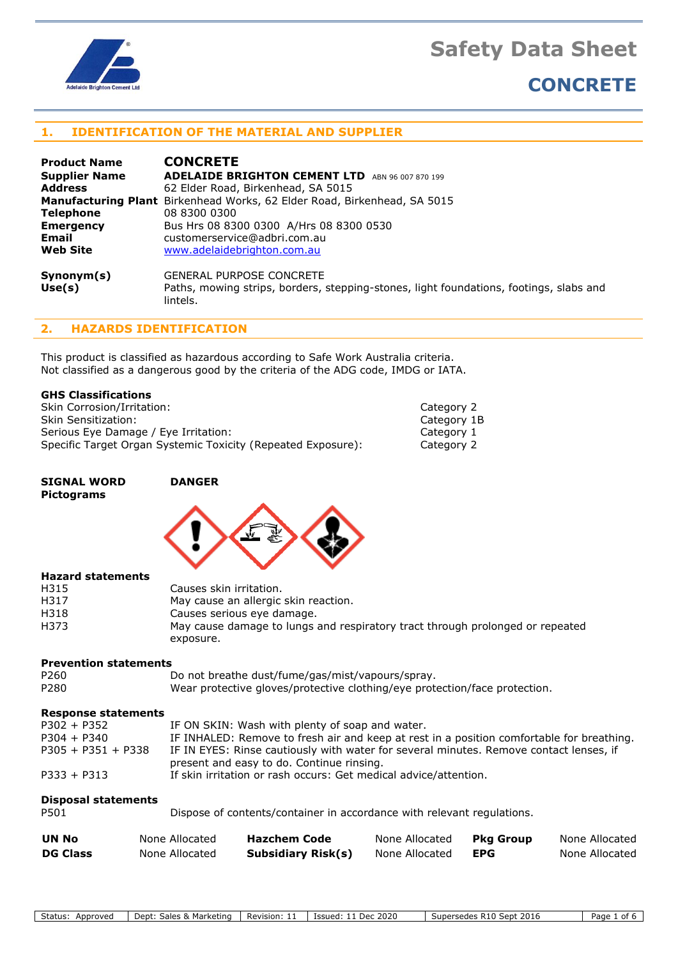

## **CONCRETE**

## **1. IDENTIFICATION OF THE MATERIAL AND SUPPLIER**

| <b>Product Name</b>  | <b>CONCRETE</b>                                                                                    |
|----------------------|----------------------------------------------------------------------------------------------------|
| <b>Supplier Name</b> | <b>ADELAIDE BRIGHTON CEMENT LTD</b><br>ABN 96 007 870 199                                          |
| <b>Address</b>       | 62 Elder Road, Birkenhead, SA 5015                                                                 |
|                      | <b>Manufacturing Plant</b> Birkenhead Works, 62 Elder Road, Birkenhead, SA 5015                    |
| <b>Telephone</b>     | 08 8300 0300                                                                                       |
| <b>Emergency</b>     | Bus Hrs 08 8300 0300 A/Hrs 08 8300 0530                                                            |
| Email                | customerservice@adbri.com.au                                                                       |
| <b>Web Site</b>      | www.adelaidebrighton.com.au                                                                        |
| Symonym(s)           | <b>GENERAL PURPOSE CONCRETE</b>                                                                    |
| Use(s)               | Paths, mowing strips, borders, stepping-stones, light foundations, footings, slabs and<br>lintels. |

## **2. HAZARDS IDENTIFICATION**

This product is classified as hazardous according to Safe Work Australia criteria. Not classified as a dangerous good by the criteria of the ADG code, IMDG or IATA.

| Skin Corrosion/Irritation:                                   | Category 2  |
|--------------------------------------------------------------|-------------|
| Skin Sensitization:                                          | Category 1B |
| Serious Eye Damage / Eye Irritation:                         | Category 1  |
| Specific Target Organ Systemic Toxicity (Repeated Exposure): | Category 2  |

| Category 2  |  |
|-------------|--|
| Category 1E |  |
| Category 1  |  |
| Category 2  |  |
|             |  |

#### **SIGNAL WORD DANGER Pictograms**



#### **Hazard statements**

| Causes skin irritation.                                                       |
|-------------------------------------------------------------------------------|
| May cause an allergic skin reaction.                                          |
| Causes serious eye damage.                                                    |
| May cause damage to lungs and respiratory tract through prolonged or repeated |
| exposure.                                                                     |
|                                                                               |

## **Prevention statements**

P260 Do not breathe dust/fume/gas/mist/vapours/spray. P280 Wear protective gloves/protective clothing/eye protection/face protection.

## **Response statements**

| <b>Disposal statements</b> |                                                                                           |
|----------------------------|-------------------------------------------------------------------------------------------|
| $P333 + P313$              | If skin irritation or rash occurs: Get medical advice/attention.                          |
|                            | present and easy to do. Continue rinsing.                                                 |
| $P305 + P351 + P338$       | IF IN EYES: Rinse cautiously with water for several minutes. Remove contact lenses, if    |
| $P304 + P340$              | IF INHALED: Remove to fresh air and keep at rest in a position comfortable for breathing. |
| $P302 + P352$              | IF ON SKIN: Wash with plenty of soap and water.                                           |

| P501 | Dispose of contents/container in accordance with relevant regulations. |  |
|------|------------------------------------------------------------------------|--|
|      |                                                                        |  |

| UN No           | None Allocated | Hazchem Code              | None Allocated | Pkg Group | None Allocated |
|-----------------|----------------|---------------------------|----------------|-----------|----------------|
| <b>DG Class</b> | None Allocated | <b>Subsidiary Risk(s)</b> | None Allocated | EPG       | None Allocated |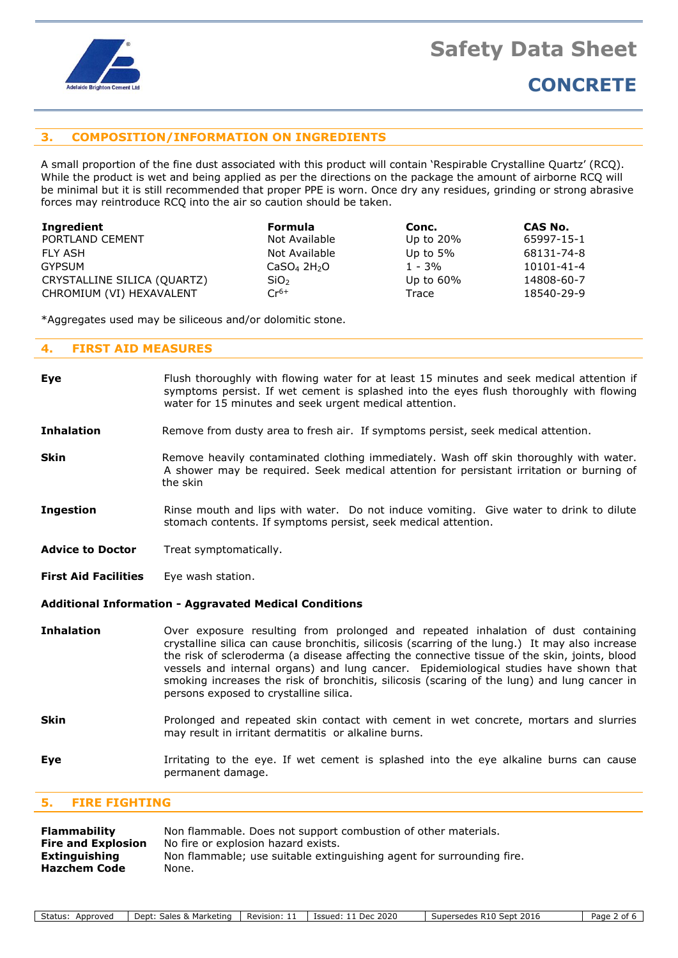

## **CONCRETE**

## **3. COMPOSITION/INFORMATION ON INGREDIENTS**

A small proportion of the fine dust associated with this product will contain 'Respirable Crystalline Quartz' (RCQ). While the product is wet and being applied as per the directions on the package the amount of airborne RCQ will be minimal but it is still recommended that proper PPE is worn. Once dry any residues, grinding or strong abrasive forces may reintroduce RCQ into the air so caution should be taken.

| Ingredient                  | <b>Formula</b>                      | Conc.        | CAS No.    |
|-----------------------------|-------------------------------------|--------------|------------|
| PORTLAND CEMENT             | Not Available                       | Up to $20\%$ | 65997-15-1 |
| FLY ASH                     | Not Available                       | Up to $5\%$  | 68131-74-8 |
| <b>GYPSUM</b>               | CaSO <sub>4</sub> 2H <sub>2</sub> O | $1 - 3%$     | 10101-41-4 |
| CRYSTALLINE SILICA (QUARTZ) | SiO <sub>2</sub>                    | Up to $60\%$ | 14808-60-7 |
| CHROMIUM (VI) HEXAVALENT    | $Cr^{6+}$                           | Trace        | 18540-29-9 |

\*Aggregates used may be siliceous and/or dolomitic stone.

#### **4. FIRST AID MEASURES**

| <b>Eye</b>                                                    | Flush thoroughly with flowing water for at least 15 minutes and seek medical attention if<br>symptoms persist. If wet cement is splashed into the eyes flush thoroughly with flowing<br>water for 15 minutes and seek urgent medical attention.                                                                                                                                                                                                                                                                          |  |
|---------------------------------------------------------------|--------------------------------------------------------------------------------------------------------------------------------------------------------------------------------------------------------------------------------------------------------------------------------------------------------------------------------------------------------------------------------------------------------------------------------------------------------------------------------------------------------------------------|--|
| <b>Inhalation</b>                                             | Remove from dusty area to fresh air. If symptoms persist, seek medical attention.                                                                                                                                                                                                                                                                                                                                                                                                                                        |  |
| <b>Skin</b>                                                   | Remove heavily contaminated clothing immediately. Wash off skin thoroughly with water.<br>A shower may be required. Seek medical attention for persistant irritation or burning of<br>the skin                                                                                                                                                                                                                                                                                                                           |  |
| <b>Ingestion</b>                                              | Rinse mouth and lips with water. Do not induce vomiting. Give water to drink to dilute<br>stomach contents. If symptoms persist, seek medical attention.                                                                                                                                                                                                                                                                                                                                                                 |  |
| <b>Advice to Doctor</b>                                       | Treat symptomatically.                                                                                                                                                                                                                                                                                                                                                                                                                                                                                                   |  |
| <b>First Aid Facilities</b>                                   | Eye wash station.                                                                                                                                                                                                                                                                                                                                                                                                                                                                                                        |  |
| <b>Additional Information - Aggravated Medical Conditions</b> |                                                                                                                                                                                                                                                                                                                                                                                                                                                                                                                          |  |
| <b>Inhalation</b>                                             | Over exposure resulting from prolonged and repeated inhalation of dust containing<br>crystalline silica can cause bronchitis, silicosis (scarring of the lung.) It may also increase<br>the risk of scleroderma (a disease affecting the connective tissue of the skin, joints, blood<br>vessels and internal organs) and lung cancer. Epidemiological studies have shown that<br>smoking increases the risk of bronchitis, silicosis (scaring of the lung) and lung cancer in<br>persons exposed to crystalline silica. |  |
| <b>Skin</b>                                                   | Prolonged and repeated skin contact with cement in wet concrete, mortars and slurries<br>may result in irritant dermatitis or alkaline burns.                                                                                                                                                                                                                                                                                                                                                                            |  |
| <b>Eye</b>                                                    | Irritating to the eye. If wet cement is splashed into the eye alkaline burns can cause<br>permanent damage.                                                                                                                                                                                                                                                                                                                                                                                                              |  |

## **5. FIRE FIGHTING**

| Flammability              | Non flammable. Does not support combustion of other materials.        |
|---------------------------|-----------------------------------------------------------------------|
| <b>Fire and Explosion</b> | No fire or explosion hazard exists.                                   |
| Extinguishing             | Non flammable; use suitable extinguishing agent for surrounding fire. |
| <b>Hazchem Code</b>       | None.                                                                 |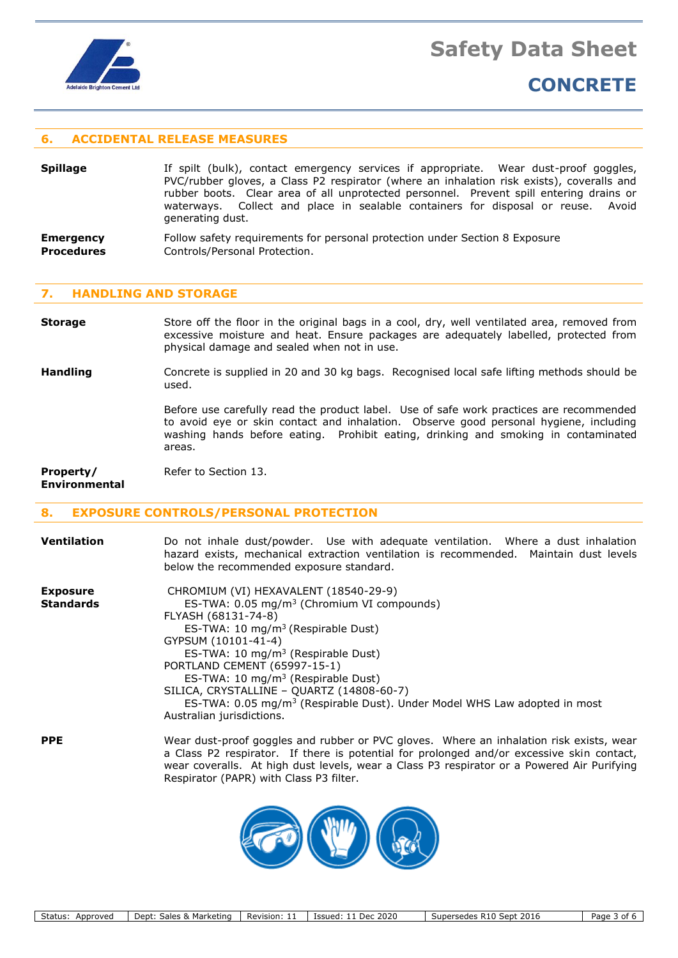

## **CONCRETE**

## **6. ACCIDENTAL RELEASE MEASURES**

- **Spillage** If spilt (bulk), contact emergency services if appropriate. Wear dust-proof goggles, PVC/rubber gloves, a Class P2 respirator (where an inhalation risk exists), coveralls and rubber boots. Clear area of all unprotected personnel. Prevent spill entering drains or waterways. Collect and place in sealable containers for disposal or reuse. Avoid generating dust.
- **Emergency** Follow safety requirements for personal protection under Section 8 Exposure **Procedures Controls/Personal Protection.**

#### **7. HANDLING AND STORAGE**

**Storage** Store off the floor in the original bags in a cool, dry, well ventilated area, removed from excessive moisture and heat. Ensure packages are adequately labelled, protected from physical damage and sealed when not in use.

**Handling** Concrete is supplied in 20 and 30 kg bags. Recognised local safe lifting methods should be used.

> Before use carefully read the product label. Use of safe work practices are recommended to avoid eye or skin contact and inhalation. Observe good personal hygiene, including washing hands before eating. Prohibit eating, drinking and smoking in contaminated areas.

**Property/** Refer to Section 13. **Environmental**

## **8. EXPOSURE CONTROLS/PERSONAL PROTECTION**

| <b>Ventilation</b>                  | Do not inhale dust/powder. Use with adequate ventilation. Where a dust inhalation<br>hazard exists, mechanical extraction ventilation is recommended. Maintain dust levels<br>below the recommended exposure standard.                                                                                                                                                                                                                                                                      |
|-------------------------------------|---------------------------------------------------------------------------------------------------------------------------------------------------------------------------------------------------------------------------------------------------------------------------------------------------------------------------------------------------------------------------------------------------------------------------------------------------------------------------------------------|
| <b>Exposure</b><br><b>Standards</b> | CHROMIUM (VI) HEXAVALENT (18540-29-9)<br>ES-TWA: $0.05 \text{ mg/m}^3$ (Chromium VI compounds)<br>FLYASH (68131-74-8)<br>ES-TWA: 10 mg/m <sup>3</sup> (Respirable Dust)<br>GYPSUM (10101-41-4)<br>ES-TWA: 10 $mg/m3$ (Respirable Dust)<br>PORTLAND CEMENT (65997-15-1)<br>ES-TWA: 10 mg/m <sup>3</sup> (Respirable Dust)<br>SILICA, CRYSTALLINE - QUARTZ (14808-60-7)<br>ES-TWA: 0.05 mg/m <sup>3</sup> (Respirable Dust). Under Model WHS Law adopted in most<br>Australian jurisdictions. |
| <b>PPE</b>                          | Wear dust-proof goggles and rubber or PVC gloves. Where an inhalation risk exists, wear<br>a Class P2 respirator. If there is potential for prolonged and/or excessive skin contact,<br>wear coveralls. At high dust levels, wear a Class P3 respirator or a Powered Air Purifying                                                                                                                                                                                                          |



Respirator (PAPR) with Class P3 filter.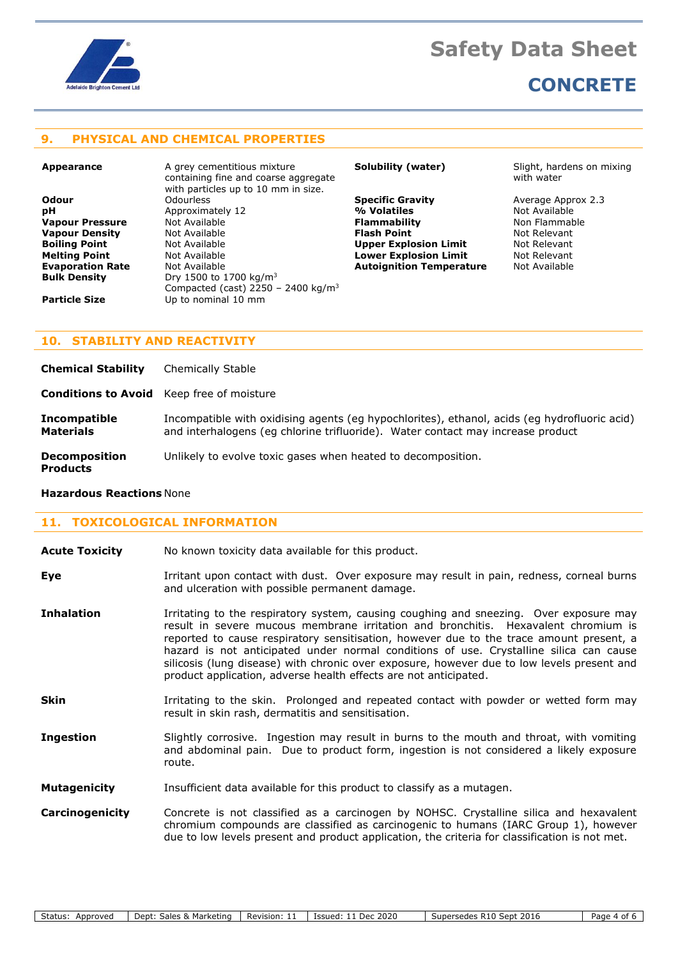

## **CONCRETE**

## **9. PHYSICAL AND CHEMICAL PROPERTIES**

**Appearance A grey cementitious mixture** containing fine and coarse aggregate with particles up to 10 mm in size. **Odour** Odourless **Specific Gravity** Average Approx 2.3 **pH** Approximately 12 **1988 Marsh 1989 Metalwang Metalwang Metalwang Metalwang Metalwang Metalwang Metalwang Metalwang Metalwang Metalwang Metalwang Metalwang Metalwang Metalwang Metalwang Metalwang Metalwang Metalwang Met Vapour Pressure** Not Available **Flammability** Non Flammable **Vapour Density Not Available <b>Flash Point Flash Point** Mot Relevant **Not Relevant Relevant Relevant Relevant Boiling Point** Not Available **Upper Explosion Limit** Not Relevant **Melting Point Communist Communist Communist Communist Communist Communist Communist Communist Communist Communist Communist Communist Communist Communist Communist Communist Communist Communist Communist Communist Commu Bulk Density** Dry 1500 to 1700 kg/m<sup>3</sup> Compacted (cast) 2250 - 2400 kg/m<sup>3</sup> **Particle Size** Up to nominal 10 mm

**Autoignition Temperature** 

**Solubility (water)** Slight, hardens on mixing with water

## **10. STABILITY AND REACTIVITY**

**Chemical Stability** Chemically Stable

**Conditions to Avoid** Keep free of moisture

**Incompatible** Incompatible with oxidising agents (eg hypochlorites), ethanol, acids (eg hydrofluoric acid) **Materials** and interhalogens (eg chlorine trifluoride). Water contact may increase product

**Decomposition** Unlikely to evolve toxic gases when heated to decomposition.

## **Products**

## **Hazardous Reactions** None

## **11. TOXICOLOGICAL INFORMATION**

**Acute Toxicity** No known toxicity data available for this product.

**Eye I**rritant upon contact with dust. Over exposure may result in pain, redness, corneal burns and ulceration with possible permanent damage.

- **Inhalation** Irritating to the respiratory system, causing coughing and sneezing. Over exposure may result in severe mucous membrane irritation and bronchitis. Hexavalent chromium is reported to cause respiratory sensitisation, however due to the trace amount present, a hazard is not anticipated under normal conditions of use. Crystalline silica can cause silicosis (lung disease) with chronic over exposure, however due to low levels present and product application, adverse health effects are not anticipated.
- **Skin** Irritating to the skin. Prolonged and repeated contact with powder or wetted form may result in skin rash, dermatitis and sensitisation.
- **Ingestion** Slightly corrosive. Ingestion may result in burns to the mouth and throat, with vomiting and abdominal pain. Due to product form, ingestion is not considered a likely exposure route.
- **Mutagenicity** Insufficient data available for this product to classify as a mutagen.

**Carcinogenicity** Concrete is not classified as a carcinogen by NOHSC. Crystalline silica and hexavalent chromium compounds are classified as carcinogenic to humans (IARC Group 1), however due to low levels present and product application, the criteria for classification is not met.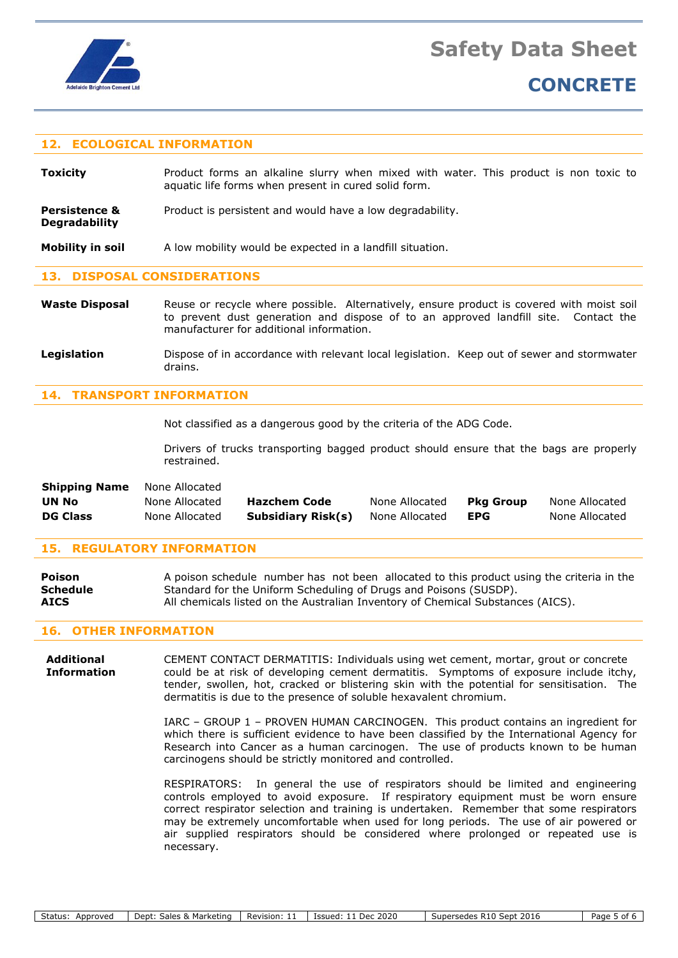

**Degradability**

## **CONCRETE**

## **12. ECOLOGICAL INFORMATION**

**Toxicity Product forms an alkaline slurry when mixed with water. This product is non toxic to** aquatic life forms when present in cured solid form.

**Persistence &** Product is persistent and would have a low degradability.

**Mobility in soil** A low mobility would be expected in a landfill situation.

## **13. DISPOSAL CONSIDERATIONS**

- Waste Disposal Reuse or recycle where possible. Alternatively, ensure product is covered with moist soil to prevent dust generation and dispose of to an approved landfill site. Contact the manufacturer for additional information.
- Legislation **Dispose of in accordance with relevant local legislation. Keep out of sewer and stormwater** drains.

## **14. TRANSPORT INFORMATION**

Not classified as a dangerous good by the criteria of the ADG Code.

Drivers of trucks transporting bagged product should ensure that the bags are properly restrained.

| <b>Shipping Name</b> | None Allocated |                           |                |                  |                |
|----------------------|----------------|---------------------------|----------------|------------------|----------------|
| UN No                | None Allocated | <b>Hazchem Code</b>       | None Allocated | <b>Pkg Group</b> | None Allocated |
| <b>DG Class</b>      | None Allocated | <b>Subsidiary Risk(s)</b> | None Allocated | <b>EPG</b>       | None Allocated |

#### **15. REGULATORY INFORMATION**

| <b>Poison</b>   | A poison schedule number has not been allocated to this product using the criteria in the |
|-----------------|-------------------------------------------------------------------------------------------|
| <b>Schedule</b> | Standard for the Uniform Scheduling of Drugs and Poisons (SUSDP).                         |
| <b>AICS</b>     | All chemicals listed on the Australian Inventory of Chemical Substances (AICS).           |

#### **16. OTHER INFORMATION**

**Additional** CEMENT CONTACT DERMATITIS: Individuals using wet cement, mortar, grout or concrete **Information** could be at risk of developing cement dermatitis. Symptoms of exposure include itchy, tender, swollen, hot, cracked or blistering skin with the potential for sensitisation. The dermatitis is due to the presence of soluble hexavalent chromium.

> IARC – GROUP 1 – PROVEN HUMAN CARCINOGEN. This product contains an ingredient for which there is sufficient evidence to have been classified by the International Agency for Research into Cancer as a human carcinogen. The use of products known to be human carcinogens should be strictly monitored and controlled.

> RESPIRATORS: In general the use of respirators should be limited and engineering controls employed to avoid exposure. If respiratory equipment must be worn ensure correct respirator selection and training is undertaken. Remember that some respirators may be extremely uncomfortable when used for long periods. The use of air powered or air supplied respirators should be considered where prolonged or repeated use is necessary.